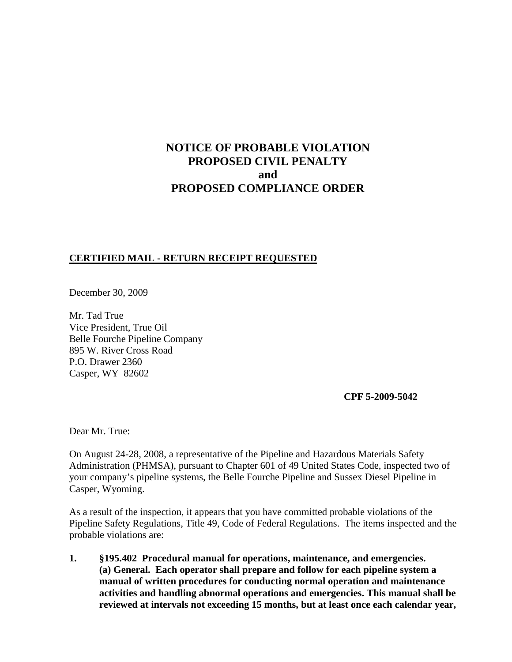# **NOTICE OF PROBABLE VIOLATION PROPOSED CIVIL PENALTY and PROPOSED COMPLIANCE ORDER**

## **CERTIFIED MAIL - RETURN RECEIPT REQUESTED**

December 30, 2009

Mr. Tad True Vice President, True Oil Belle Fourche Pipeline Company 895 W. River Cross Road P.O. Drawer 2360 Casper, WY 82602

**CPF 5-2009-5042**

Dear Mr. True:

On August 24-28, 2008, a representative of the Pipeline and Hazardous Materials Safety Administration (PHMSA), pursuant to Chapter 601 of 49 United States Code, inspected two of your company's pipeline systems, the Belle Fourche Pipeline and Sussex Diesel Pipeline in Casper, Wyoming.

As a result of the inspection, it appears that you have committed probable violations of the Pipeline Safety Regulations, Title 49, Code of Federal Regulations. The items inspected and the probable violations are:

**1. §195.402 Procedural manual for operations, maintenance, and emergencies. (a) General. Each operator shall prepare and follow for each pipeline system a manual of written procedures for conducting normal operation and maintenance activities and handling abnormal operations and emergencies. This manual shall be reviewed at intervals not exceeding 15 months, but at least once each calendar year,**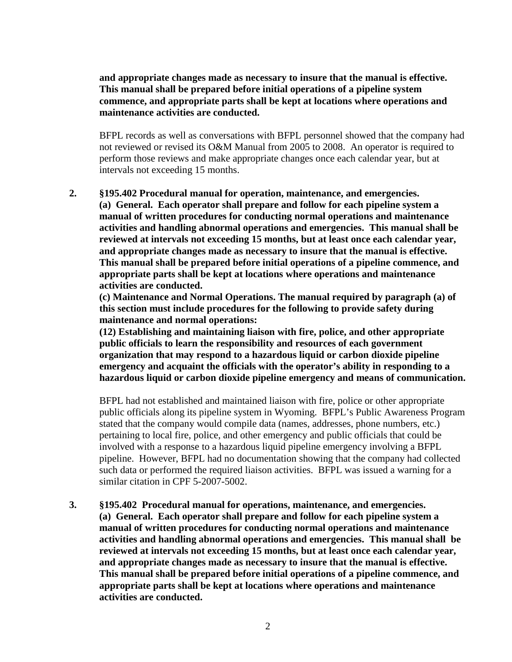**and appropriate changes made as necessary to insure that the manual is effective. This manual shall be prepared before initial operations of a pipeline system commence, and appropriate parts shall be kept at locations where operations and maintenance activities are conducted.** 

BFPL records as well as conversations with BFPL personnel showed that the company had not reviewed or revised its O&M Manual from 2005 to 2008. An operator is required to perform those reviews and make appropriate changes once each calendar year, but at intervals not exceeding 15 months.

**2. §195.402 Procedural manual for operation, maintenance, and emergencies. (a) General. Each operator shall prepare and follow for each pipeline system a manual of written procedures for conducting normal operations and maintenance activities and handling abnormal operations and emergencies. This manual shall be reviewed at intervals not exceeding 15 months, but at least once each calendar year, and appropriate changes made as necessary to insure that the manual is effective. This manual shall be prepared before initial operations of a pipeline commence, and appropriate parts shall be kept at locations where operations and maintenance activities are conducted.**

**(c) Maintenance and Normal Operations. The manual required by paragraph (a) of this section must include procedures for the following to provide safety during maintenance and normal operations:**

**(12) Establishing and maintaining liaison with fire, police, and other appropriate public officials to learn the responsibility and resources of each government organization that may respond to a hazardous liquid or carbon dioxide pipeline emergency and acquaint the officials with the operator's ability in responding to a hazardous liquid or carbon dioxide pipeline emergency and means of communication.**

BFPL had not established and maintained liaison with fire, police or other appropriate public officials along its pipeline system in Wyoming. BFPL's Public Awareness Program stated that the company would compile data (names, addresses, phone numbers, etc.) pertaining to local fire, police, and other emergency and public officials that could be involved with a response to a hazardous liquid pipeline emergency involving a BFPL pipeline. However, BFPL had no documentation showing that the company had collected such data or performed the required liaison activities. BFPL was issued a warning for a similar citation in CPF 5-2007-5002.

**3. §195.402 Procedural manual for operations, maintenance, and emergencies. (a) General. Each operator shall prepare and follow for each pipeline system a manual of written procedures for conducting normal operations and maintenance activities and handling abnormal operations and emergencies. This manual shall be reviewed at intervals not exceeding 15 months, but at least once each calendar year, and appropriate changes made as necessary to insure that the manual is effective. This manual shall be prepared before initial operations of a pipeline commence, and appropriate parts shall be kept at locations where operations and maintenance activities are conducted.**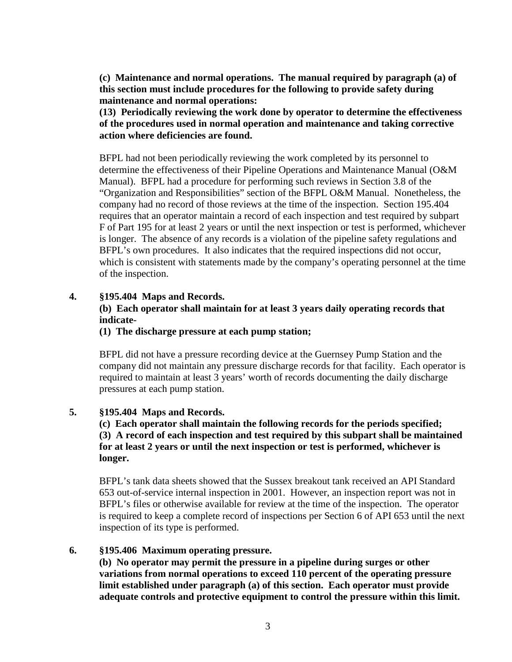**(c) Maintenance and normal operations. The manual required by paragraph (a) of this section must include procedures for the following to provide safety during maintenance and normal operations:**

**(13) Periodically reviewing the work done by operator to determine the effectiveness of the procedures used in normal operation and maintenance and taking corrective action where deficiencies are found.**

BFPL had not been periodically reviewing the work completed by its personnel to determine the effectiveness of their Pipeline Operations and Maintenance Manual (O&M Manual). BFPL had a procedure for performing such reviews in Section 3.8 of the "Organization and Responsibilities" section of the BFPL O&M Manual. Nonetheless, the company had no record of those reviews at the time of the inspection. Section 195.404 requires that an operator maintain a record of each inspection and test required by subpart F of Part 195 for at least 2 years or until the next inspection or test is performed, whichever is longer. The absence of any records is a violation of the pipeline safety regulations and BFPL's own procedures. It also indicates that the required inspections did not occur, which is consistent with statements made by the company's operating personnel at the time of the inspection.

## **4. §195.404 Maps and Records.**

# **(b) Each operator shall maintain for at least 3 years daily operating records that indicate-**

### **(1) The discharge pressure at each pump station;**

BFPL did not have a pressure recording device at the Guernsey Pump Station and the company did not maintain any pressure discharge records for that facility. Each operator is required to maintain at least 3 years' worth of records documenting the daily discharge pressures at each pump station.

## **5. §195.404 Maps and Records.**

**(c) Each operator shall maintain the following records for the periods specified; (3) A record of each inspection and test required by this subpart shall be maintained for at least 2 years or until the next inspection or test is performed, whichever is longer.**

BFPL's tank data sheets showed that the Sussex breakout tank received an API Standard 653 out-of-service internal inspection in 2001. However, an inspection report was not in BFPL's files or otherwise available for review at the time of the inspection. The operator is required to keep a complete record of inspections per Section 6 of API 653 until the next inspection of its type is performed.

#### **6. §195.406 Maximum operating pressure.**

**(b) No operator may permit the pressure in a pipeline during surges or other variations from normal operations to exceed 110 percent of the operating pressure limit established under paragraph (a) of this section. Each operator must provide adequate controls and protective equipment to control the pressure within this limit.**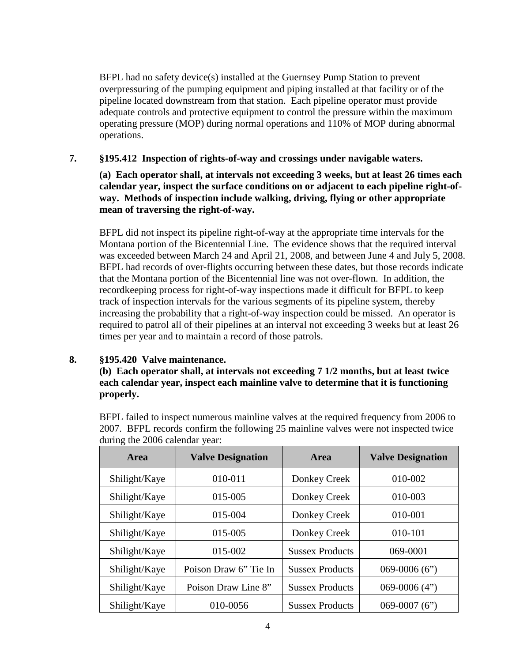BFPL had no safety device(s) installed at the Guernsey Pump Station to prevent overpressuring of the pumping equipment and piping installed at that facility or of the pipeline located downstream from that station. Each pipeline operator must provide adequate controls and protective equipment to control the pressure within the maximum operating pressure (MOP) during normal operations and 110% of MOP during abnormal operations.

# **7. §195.412 Inspection of rights-of-way and crossings under navigable waters.**

**(a) Each operator shall, at intervals not exceeding 3 weeks, but at least 26 times each calendar year, inspect the surface conditions on or adjacent to each pipeline right-ofway. Methods of inspection include walking, driving, flying or other appropriate mean of traversing the right-of-way.**

BFPL did not inspect its pipeline right-of-way at the appropriate time intervals for the Montana portion of the Bicentennial Line. The evidence shows that the required interval was exceeded between March 24 and April 21, 2008, and between June 4 and July 5, 2008. BFPL had records of over-flights occurring between these dates, but those records indicate that the Montana portion of the Bicentennial line was not over-flown. In addition, the recordkeeping process for right-of-way inspections made it difficult for BFPL to keep track of inspection intervals for the various segments of its pipeline system, thereby increasing the probability that a right-of-way inspection could be missed. An operator is required to patrol all of their pipelines at an interval not exceeding 3 weeks but at least 26 times per year and to maintain a record of those patrols.

## **8. §195.420 Valve maintenance.**

# **(b) Each operator shall, at intervals not exceeding 7 1/2 months, but at least twice each calendar year, inspect each mainline valve to determine that it is functioning properly.**

BFPL failed to inspect numerous mainline valves at the required frequency from 2006 to 2007. BFPL records confirm the following 25 mainline valves were not inspected twice during the 2006 calendar year:

| Area          | <b>Valve Designation</b> | Area                   | <b>Valve Designation</b> |
|---------------|--------------------------|------------------------|--------------------------|
| Shilight/Kaye | 010-011                  | Donkey Creek           | 010-002                  |
| Shilight/Kaye | 015-005                  | Donkey Creek           | 010-003                  |
| Shilight/Kaye | 015-004                  | Donkey Creek           | 010-001                  |
| Shilight/Kaye | 015-005                  | Donkey Creek           | 010-101                  |
| Shilight/Kaye | 015-002                  | <b>Sussex Products</b> | 069-0001                 |
| Shilight/Kaye | Poison Draw 6" Tie In    | <b>Sussex Products</b> | $069 - 0006(6")$         |
| Shilight/Kaye | Poison Draw Line 8"      | <b>Sussex Products</b> | $069-0006(4")$           |
| Shilight/Kaye | 010-0056                 | <b>Sussex Products</b> | $069-0007(6")$           |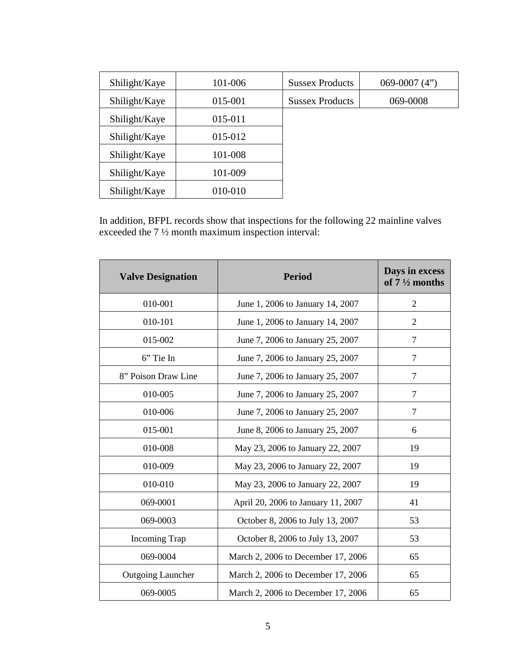| Shilight/Kaye | 101-006 | <b>Sussex Products</b> | 069-0007 $(4")$ |
|---------------|---------|------------------------|-----------------|
| Shilight/Kaye | 015-001 | <b>Sussex Products</b> | 069-0008        |
| Shilight/Kaye | 015-011 |                        |                 |
| Shilight/Kaye | 015-012 |                        |                 |
| Shilight/Kaye | 101-008 |                        |                 |
| Shilight/Kaye | 101-009 |                        |                 |
| Shilight/Kaye | 010-010 |                        |                 |

In addition, BFPL records show that inspections for the following 22 mainline valves exceeded the 7 ½ month maximum inspection interval:

| <b>Valve Designation</b> | <b>Period</b>                      | Days in excess<br>of $7\frac{1}{2}$ months |
|--------------------------|------------------------------------|--------------------------------------------|
| 010-001                  | June 1, 2006 to January 14, 2007   | $\overline{2}$                             |
| 010-101                  | June 1, 2006 to January 14, 2007   | $\overline{2}$                             |
| 015-002                  | June 7, 2006 to January 25, 2007   | 7                                          |
| 6" Tie In                | June 7, 2006 to January 25, 2007   | 7                                          |
| 8" Poison Draw Line      | June 7, 2006 to January 25, 2007   | 7                                          |
| 010-005                  | June 7, 2006 to January 25, 2007   | 7                                          |
| 010-006                  | June 7, 2006 to January 25, 2007   | 7                                          |
| 015-001                  | June 8, 2006 to January 25, 2007   | 6                                          |
| 010-008                  | May 23, 2006 to January 22, 2007   | 19                                         |
| 010-009                  | May 23, 2006 to January 22, 2007   | 19                                         |
| 010-010                  | May 23, 2006 to January 22, 2007   | 19                                         |
| 069-0001                 | April 20, 2006 to January 11, 2007 | 41                                         |
| 069-0003                 | October 8, 2006 to July 13, 2007   | 53                                         |
| <b>Incoming Trap</b>     | October 8, 2006 to July 13, 2007   | 53                                         |
| 069-0004                 | March 2, 2006 to December 17, 2006 | 65                                         |
| <b>Outgoing Launcher</b> | March 2, 2006 to December 17, 2006 | 65                                         |
| 069-0005                 | March 2, 2006 to December 17, 2006 | 65                                         |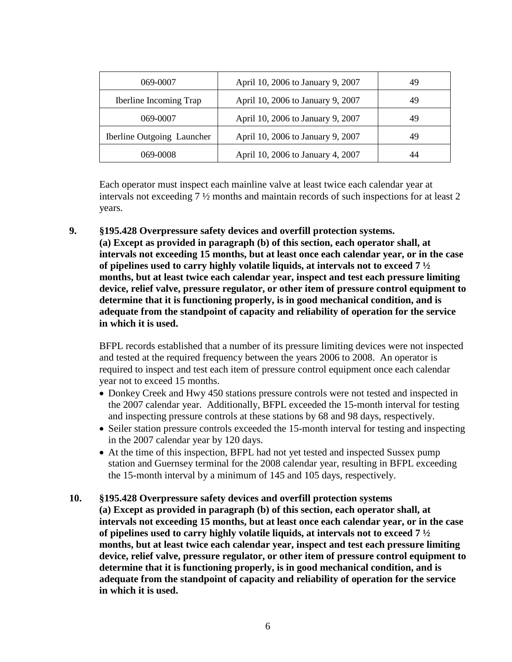| 069-0007                      | April 10, 2006 to January 9, 2007 | 49 |
|-------------------------------|-----------------------------------|----|
| <b>Iberline Incoming Trap</b> | April 10, 2006 to January 9, 2007 | 49 |
| 069-0007                      | April 10, 2006 to January 9, 2007 | 49 |
| Iberline Outgoing Launcher    | April 10, 2006 to January 9, 2007 | 49 |
| 069-0008                      | April 10, 2006 to January 4, 2007 | 44 |

Each operator must inspect each mainline valve at least twice each calendar year at intervals not exceeding 7 ½ months and maintain records of such inspections for at least 2 years.

**9. §195.428 Overpressure safety devices and overfill protection systems. (a) Except as provided in paragraph (b) of this section, each operator shall, at intervals not exceeding 15 months, but at least once each calendar year, or in the case of pipelines used to carry highly volatile liquids, at intervals not to exceed 7 ½ months, but at least twice each calendar year, inspect and test each pressure limiting device, relief valve, pressure regulator, or other item of pressure control equipment to determine that it is functioning properly, is in good mechanical condition, and is adequate from the standpoint of capacity and reliability of operation for the service in which it is used.** 

BFPL records established that a number of its pressure limiting devices were not inspected and tested at the required frequency between the years 2006 to 2008. An operator is required to inspect and test each item of pressure control equipment once each calendar year not to exceed 15 months.

- Donkey Creek and Hwy 450 stations pressure controls were not tested and inspected in the 2007 calendar year. Additionally, BFPL exceeded the 15-month interval for testing and inspecting pressure controls at these stations by 68 and 98 days, respectively.
- Seiler station pressure controls exceeded the 15-month interval for testing and inspecting in the 2007 calendar year by 120 days.
- At the time of this inspection, BFPL had not yet tested and inspected Sussex pump station and Guernsey terminal for the 2008 calendar year, resulting in BFPL exceeding the 15-month interval by a minimum of 145 and 105 days, respectively.
- **10. §195.428 Overpressure safety devices and overfill protection systems (a) Except as provided in paragraph (b) of this section, each operator shall, at intervals not exceeding 15 months, but at least once each calendar year, or in the case of pipelines used to carry highly volatile liquids, at intervals not to exceed 7 ½ months, but at least twice each calendar year, inspect and test each pressure limiting device, relief valve, pressure regulator, or other item of pressure control equipment to determine that it is functioning properly, is in good mechanical condition, and is adequate from the standpoint of capacity and reliability of operation for the service in which it is used.**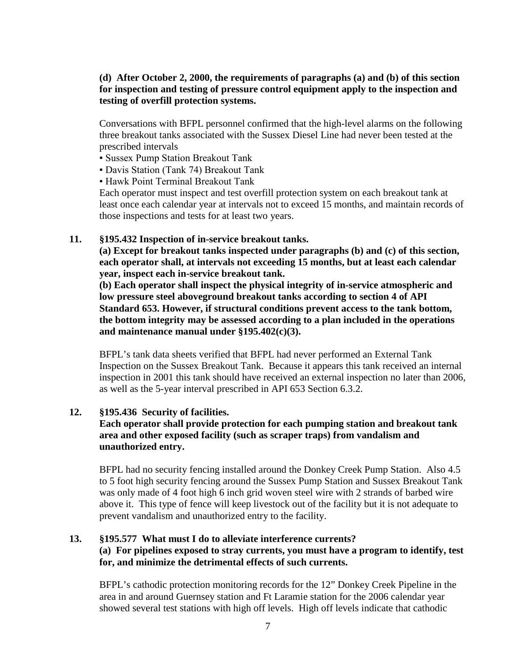# **(d) After October 2, 2000, the requirements of paragraphs (a) and (b) of this section for inspection and testing of pressure control equipment apply to the inspection and testing of overfill protection systems.**

Conversations with BFPL personnel confirmed that the high-level alarms on the following three breakout tanks associated with the Sussex Diesel Line had never been tested at the prescribed intervals

- Sussex Pump Station Breakout Tank
- Davis Station (Tank 74) Breakout Tank
- Hawk Point Terminal Breakout Tank

Each operator must inspect and test overfill protection system on each breakout tank at least once each calendar year at intervals not to exceed 15 months, and maintain records of those inspections and tests for at least two years.

#### **11. §195.432 Inspection of in-service breakout tanks.**

**(a) Except for breakout tanks inspected under paragraphs (b) and (c) of this section, each operator shall, at intervals not exceeding 15 months, but at least each calendar year, inspect each in-service breakout tank.**

**(b) Each operator shall inspect the physical integrity of in-service atmospheric and low pressure steel aboveground breakout tanks according to section 4 of API Standard 653. However, if structural conditions prevent access to the tank bottom, the bottom integrity may be assessed according to a plan included in the operations and maintenance manual under §195.402(c)(3).**

BFPL's tank data sheets verified that BFPL had never performed an External Tank Inspection on the Sussex Breakout Tank. Because it appears this tank received an internal inspection in 2001 this tank should have received an external inspection no later than 2006, as well as the 5-year interval prescribed in API 653 Section 6.3.2.

## **12. §195.436 Security of facilities.**

# **Each operator shall provide protection for each pumping station and breakout tank area and other exposed facility (such as scraper traps) from vandalism and unauthorized entry.**

BFPL had no security fencing installed around the Donkey Creek Pump Station. Also 4.5 to 5 foot high security fencing around the Sussex Pump Station and Sussex Breakout Tank was only made of 4 foot high 6 inch grid woven steel wire with 2 strands of barbed wire above it. This type of fence will keep livestock out of the facility but it is not adequate to prevent vandalism and unauthorized entry to the facility.

# **13. §195.577 What must I do to alleviate interference currents? (a) For pipelines exposed to stray currents, you must have a program to identify, test for, and minimize the detrimental effects of such currents.**

BFPL's cathodic protection monitoring records for the 12" Donkey Creek Pipeline in the area in and around Guernsey station and Ft Laramie station for the 2006 calendar year showed several test stations with high off levels. High off levels indicate that cathodic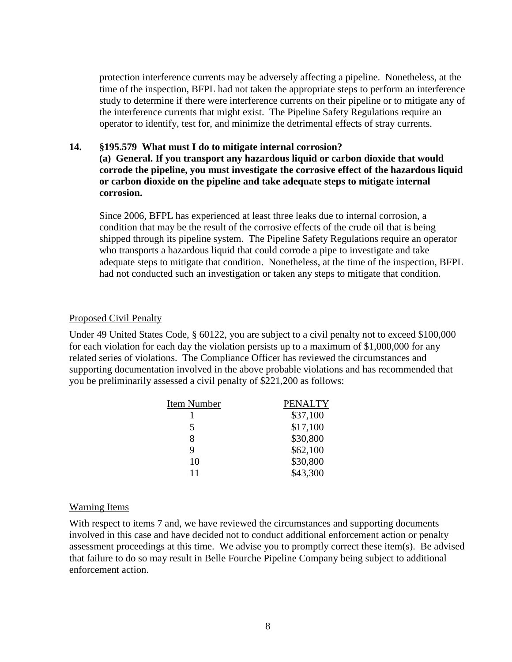protection interference currents may be adversely affecting a pipeline. Nonetheless, at the time of the inspection, BFPL had not taken the appropriate steps to perform an interference study to determine if there were interference currents on their pipeline or to mitigate any of the interference currents that might exist. The Pipeline Safety Regulations require an operator to identify, test for, and minimize the detrimental effects of stray currents.

# **14. §195.579 What must I do to mitigate internal corrosion?**

**(a) General. If you transport any hazardous liquid or carbon dioxide that would corrode the pipeline, you must investigate the corrosive effect of the hazardous liquid or carbon dioxide on the pipeline and take adequate steps to mitigate internal corrosion.**

Since 2006, BFPL has experienced at least three leaks due to internal corrosion, a condition that may be the result of the corrosive effects of the crude oil that is being shipped through its pipeline system. The Pipeline Safety Regulations require an operator who transports a hazardous liquid that could corrode a pipe to investigate and take adequate steps to mitigate that condition. Nonetheless, at the time of the inspection, BFPL had not conducted such an investigation or taken any steps to mitigate that condition.

## Proposed Civil Penalty

Under 49 United States Code, § 60122, you are subject to a civil penalty not to exceed \$100,000 for each violation for each day the violation persists up to a maximum of \$1,000,000 for any related series of violations. The Compliance Officer has reviewed the circumstances and supporting documentation involved in the above probable violations and has recommended that you be preliminarily assessed a civil penalty of \$221,200 as follows:

| Item Number | <b>PENALTY</b> |
|-------------|----------------|
|             | \$37,100       |
| 5           | \$17,100       |
| 8           | \$30,800       |
| Q           | \$62,100       |
| 10          | \$30,800       |
| 11          | \$43,300       |

## Warning Items

With respect to items 7 and, we have reviewed the circumstances and supporting documents involved in this case and have decided not to conduct additional enforcement action or penalty assessment proceedings at this time. We advise you to promptly correct these item(s). Be advised that failure to do so may result in Belle Fourche Pipeline Company being subject to additional enforcement action.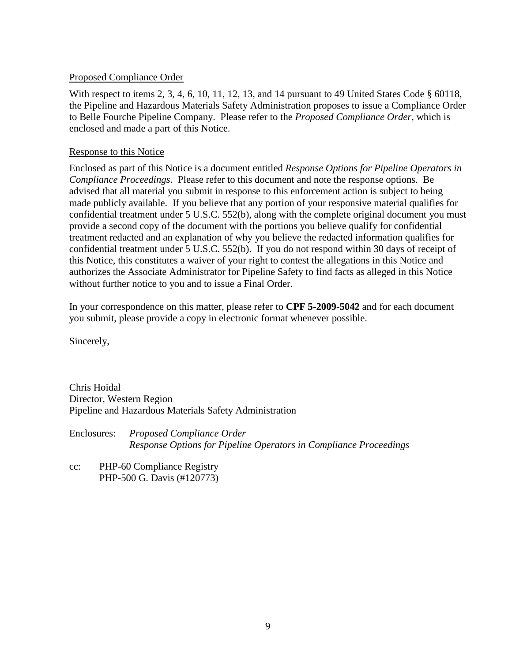# Proposed Compliance Order

With respect to items 2, 3, 4, 6, 10, 11, 12, 13, and 14 pursuant to 49 United States Code § 60118, the Pipeline and Hazardous Materials Safety Administration proposes to issue a Compliance Order to Belle Fourche Pipeline Company. Please refer to the *Proposed Compliance Order*, which is enclosed and made a part of this Notice.

# Response to this Notice

Enclosed as part of this Notice is a document entitled *Response Options for Pipeline Operators in Compliance Proceedings*. Please refer to this document and note the response options. Be advised that all material you submit in response to this enforcement action is subject to being made publicly available. If you believe that any portion of your responsive material qualifies for confidential treatment under 5 U.S.C. 552(b), along with the complete original document you must provide a second copy of the document with the portions you believe qualify for confidential treatment redacted and an explanation of why you believe the redacted information qualifies for confidential treatment under 5 U.S.C. 552(b). If you do not respond within 30 days of receipt of this Notice, this constitutes a waiver of your right to contest the allegations in this Notice and authorizes the Associate Administrator for Pipeline Safety to find facts as alleged in this Notice without further notice to you and to issue a Final Order.

In your correspondence on this matter, please refer to **CPF 5-2009-5042** and for each document you submit, please provide a copy in electronic format whenever possible.

Sincerely,

Chris Hoidal Director, Western Region Pipeline and Hazardous Materials Safety Administration

Enclosures: *Proposed Compliance Order Response Options for Pipeline Operators in Compliance Proceedings*

cc: PHP-60 Compliance Registry PHP-500 G. Davis (#120773)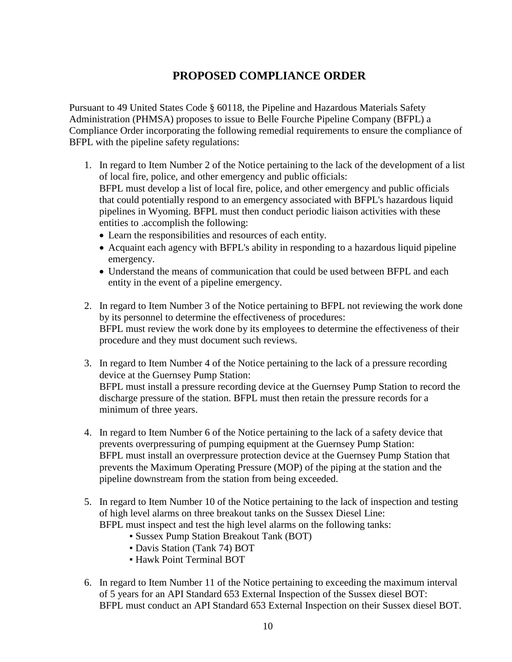# **PROPOSED COMPLIANCE ORDER**

Pursuant to 49 United States Code § 60118, the Pipeline and Hazardous Materials Safety Administration (PHMSA) proposes to issue to Belle Fourche Pipeline Company (BFPL) a Compliance Order incorporating the following remedial requirements to ensure the compliance of BFPL with the pipeline safety regulations:

- 1. In regard to Item Number 2 of the Notice pertaining to the lack of the development of a list of local fire, police, and other emergency and public officials: BFPL must develop a list of local fire, police, and other emergency and public officials that could potentially respond to an emergency associated with BFPL's hazardous liquid pipelines in Wyoming. BFPL must then conduct periodic liaison activities with these entities to .accomplish the following:
	- Learn the responsibilities and resources of each entity.
	- Acquaint each agency with BFPL's ability in responding to a hazardous liquid pipeline emergency.
	- Understand the means of communication that could be used between BFPL and each entity in the event of a pipeline emergency.
- 2. In regard to Item Number 3 of the Notice pertaining to BFPL not reviewing the work done by its personnel to determine the effectiveness of procedures: BFPL must review the work done by its employees to determine the effectiveness of their procedure and they must document such reviews.
- 3. In regard to Item Number 4 of the Notice pertaining to the lack of a pressure recording device at the Guernsey Pump Station: BFPL must install a pressure recording device at the Guernsey Pump Station to record the discharge pressure of the station. BFPL must then retain the pressure records for a minimum of three years.
- 4. In regard to Item Number 6 of the Notice pertaining to the lack of a safety device that prevents overpressuring of pumping equipment at the Guernsey Pump Station: BFPL must install an overpressure protection device at the Guernsey Pump Station that prevents the Maximum Operating Pressure (MOP) of the piping at the station and the pipeline downstream from the station from being exceeded.
- 5. In regard to Item Number 10 of the Notice pertaining to the lack of inspection and testing of high level alarms on three breakout tanks on the Sussex Diesel Line: BFPL must inspect and test the high level alarms on the following tanks:
	- Sussex Pump Station Breakout Tank (BOT)
	- Davis Station (Tank 74) BOT
	- **Hawk Point Terminal BOT**
- 6. In regard to Item Number 11 of the Notice pertaining to exceeding the maximum interval of 5 years for an API Standard 653 External Inspection of the Sussex diesel BOT: BFPL must conduct an API Standard 653 External Inspection on their Sussex diesel BOT.